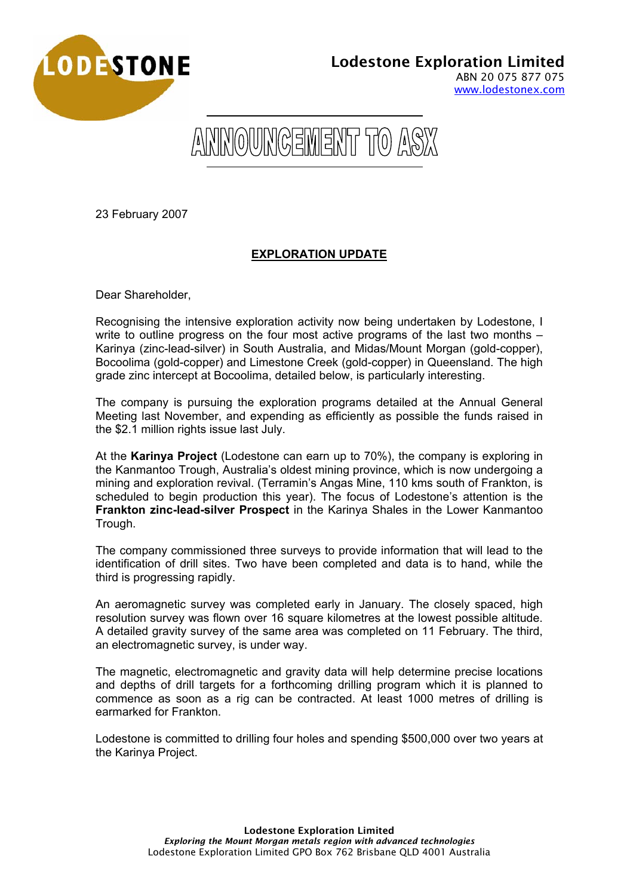



23 February 2007

## **EXPLORATION UPDATE**

Dear Shareholder,

Recognising the intensive exploration activity now being undertaken by Lodestone, I write to outline progress on the four most active programs of the last two months – Karinya (zinc-lead-silver) in South Australia, and Midas/Mount Morgan (gold-copper), Bocoolima (gold-copper) and Limestone Creek (gold-copper) in Queensland. The high grade zinc intercept at Bocoolima, detailed below, is particularly interesting.

The company is pursuing the exploration programs detailed at the Annual General Meeting last November, and expending as efficiently as possible the funds raised in the \$2.1 million rights issue last July.

At the **Karinya Project** (Lodestone can earn up to 70%), the company is exploring in the Kanmantoo Trough, Australia's oldest mining province, which is now undergoing a mining and exploration revival. (Terramin's Angas Mine, 110 kms south of Frankton, is scheduled to begin production this year). The focus of Lodestone's attention is the **Frankton zinc-lead-silver Prospect** in the Karinya Shales in the Lower Kanmantoo Trough.

The company commissioned three surveys to provide information that will lead to the identification of drill sites. Two have been completed and data is to hand, while the third is progressing rapidly.

An aeromagnetic survey was completed early in January. The closely spaced, high resolution survey was flown over 16 square kilometres at the lowest possible altitude. A detailed gravity survey of the same area was completed on 11 February. The third, an electromagnetic survey, is under way.

The magnetic, electromagnetic and gravity data will help determine precise locations and depths of drill targets for a forthcoming drilling program which it is planned to commence as soon as a rig can be contracted. At least 1000 metres of drilling is earmarked for Frankton.

Lodestone is committed to drilling four holes and spending \$500,000 over two years at the Karinya Project.